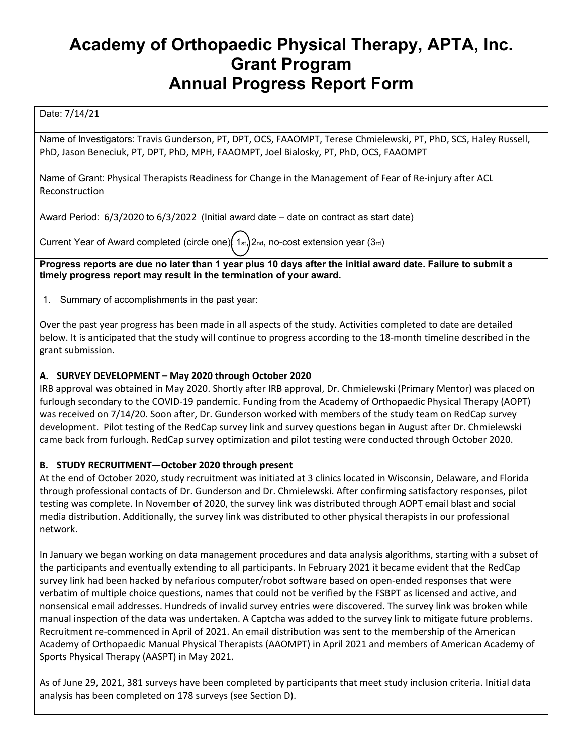# **Academy of Orthopaedic Physical Therapy, APTA, Inc. Grant Program Annual Progress Report Form**

Date: 7/14/21

Name of Investigators: Travis Gunderson, PT, DPT, OCS, FAAOMPT, Terese Chmielewski, PT, PhD, SCS, Haley Russell, PhD, Jason Beneciuk, PT, DPT, PhD, MPH, FAAOMPT, Joel Bialosky, PT, PhD, OCS, FAAOMPT

Name of Grant: Physical Therapists Readiness for Change in the Management of Fear of Re‐injury after ACL Reconstruction

Award Period: 6/3/2020 to 6/3/2022 (Initial award date – date on contract as start date)

Current Year of Award completed (circle one) $\int 1_{st}$ ,  $2_{nd}$ , no-cost extension year ( $3_{rd}$ )

**Progress reports are due no later than 1 year plus 10 days after the initial award date. Failure to submit a timely progress report may result in the termination of your award.** 

1. Summary of accomplishments in the past year:

Over the past year progress has been made in all aspects of the study. Activities completed to date are detailed below. It is anticipated that the study will continue to progress according to the 18‐month timeline described in the grant submission.

# **A. SURVEY DEVELOPMENT – May 2020 through October 2020**

IRB approval was obtained in May 2020. Shortly after IRB approval, Dr. Chmielewski (Primary Mentor) was placed on furlough secondary to the COVID‐19 pandemic. Funding from the Academy of Orthopaedic Physical Therapy (AOPT) was received on 7/14/20. Soon after, Dr. Gunderson worked with members of the study team on RedCap survey development. Pilot testing of the RedCap survey link and survey questions began in August after Dr. Chmielewski came back from furlough. RedCap survey optimization and pilot testing were conducted through October 2020.

## **B. STUDY RECRUITMENT—October 2020 through present**

At the end of October 2020, study recruitment was initiated at 3 clinics located in Wisconsin, Delaware, and Florida through professional contacts of Dr. Gunderson and Dr. Chmielewski. After confirming satisfactory responses, pilot testing was complete. In November of 2020, the survey link was distributed through AOPT email blast and social media distribution. Additionally, the survey link was distributed to other physical therapists in our professional network.

In January we began working on data management procedures and data analysis algorithms, starting with a subset of the participants and eventually extending to all participants. In February 2021 it became evident that the RedCap survey link had been hacked by nefarious computer/robot software based on open-ended responses that were verbatim of multiple choice questions, names that could not be verified by the FSBPT as licensed and active, and nonsensical email addresses. Hundreds of invalid survey entries were discovered. The survey link was broken while manual inspection of the data was undertaken. A Captcha was added to the survey link to mitigate future problems. Recruitment re‐commenced in April of 2021. An email distribution was sent to the membership of the American Academy of Orthopaedic Manual Physical Therapists (AAOMPT) in April 2021 and members of American Academy of Sports Physical Therapy (AASPT) in May 2021.

As of June 29, 2021, 381 surveys have been completed by participants that meet study inclusion criteria. Initial data analysis has been completed on 178 surveys (see Section D).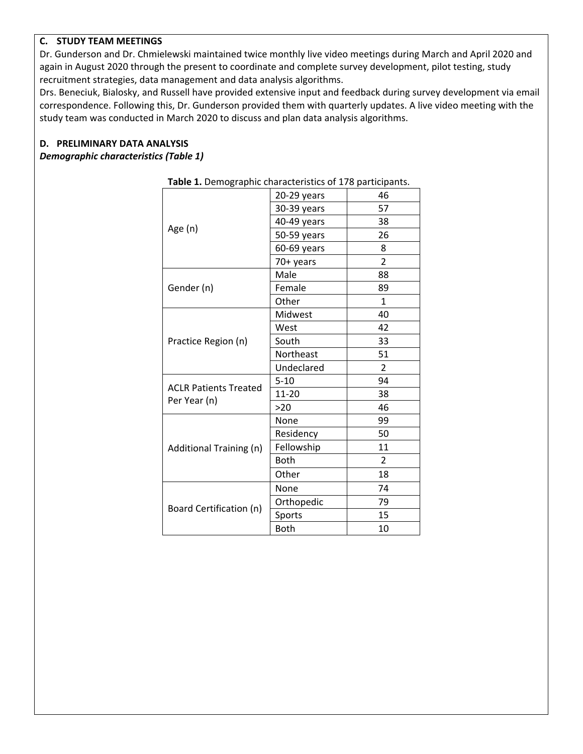## **C. STUDY TEAM MEETINGS**

Dr. Gunderson and Dr. Chmielewski maintained twice monthly live video meetings during March and April 2020 and again in August 2020 through the present to coordinate and complete survey development, pilot testing, study recruitment strategies, data management and data analysis algorithms.

Drs. Beneciuk, Bialosky, and Russell have provided extensive input and feedback during survey development via email correspondence. Following this, Dr. Gunderson provided them with quarterly updates. A live video meeting with the study team was conducted in March 2020 to discuss and plan data analysis algorithms.

## **D. PRELIMINARY DATA ANALYSIS**

## *Demographic characteristics (Table 1)*

| Table 1. Demographic characteristics of 178 participants. |                  |                |
|-----------------------------------------------------------|------------------|----------------|
|                                                           | $20-29$ years    | 46             |
|                                                           | 30-39 years      | 57             |
|                                                           | 40-49 years      | 38             |
| Age (n)                                                   | 50-59 years      | 26             |
|                                                           | 60-69 years      | 8              |
|                                                           | 70+ years        | $\overline{2}$ |
| Gender (n)                                                | Male             | 88             |
|                                                           | Female           | 89             |
|                                                           | Other            | $\mathbf{1}$   |
|                                                           | Midwest          | 40             |
|                                                           | West             | 42             |
| Practice Region (n)                                       | South            | 33             |
|                                                           | <b>Northeast</b> | 51             |
|                                                           | Undeclared       | $\overline{2}$ |
| <b>ACLR Patients Treated</b>                              | $5 - 10$         | 94             |
| Per Year (n)                                              | $11 - 20$        | 38             |
|                                                           | >20              | 46             |
| Additional Training (n)                                   | None             | 99             |
|                                                           | Residency        | 50             |
|                                                           | Fellowship       | 11             |
|                                                           | <b>Both</b>      | 2              |
|                                                           | Other            | 18             |
|                                                           | None             | 74             |
|                                                           | Orthopedic       | 79             |
| Board Certification (n)                                   | Sports           | 15             |
|                                                           | <b>Both</b>      | 10             |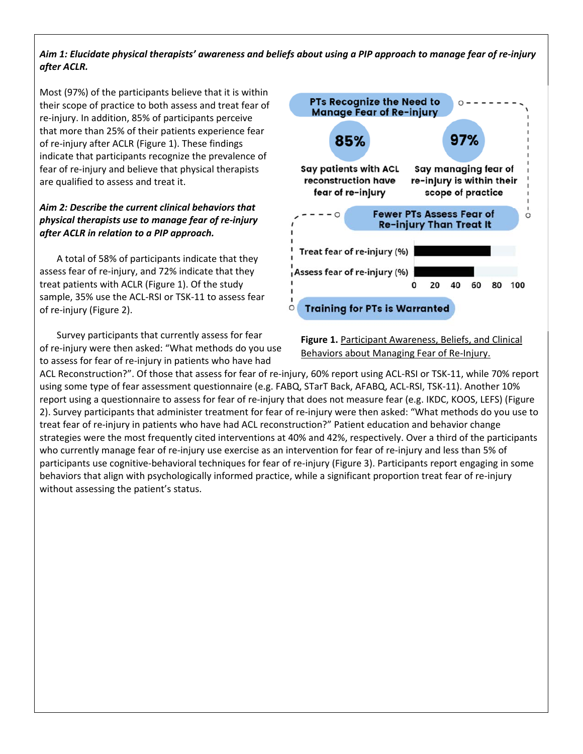# *Aim 1: Elucidate physical therapists' awareness and beliefs about using a PIP approach to manage fear of re‐injury after ACLR.*

Most (97%) of the participants believe that it is within their scope of practice to both assess and treat fear of re‐injury. In addition, 85% of participants perceive that more than 25% of their patients experience fear of re‐injury after ACLR (Figure 1). These findings indicate that participants recognize the prevalence of fear of re-injury and believe that physical therapists are qualified to assess and treat it.

# *Aim 2: Describe the current clinical behaviors that physical therapists use to manage fear of re‐injury after ACLR in relation to a PIP approach.*

A total of 58% of participants indicate that they assess fear of re‐injury, and 72% indicate that they treat patients with ACLR (Figure 1). Of the study sample, 35% use the ACL‐RSI or TSK‐11 to assess fear of re‐injury (Figure 2).

Survey participants that currently assess for fear of re‐injury were then asked: "What methods do you use to assess for fear of re‐injury in patients who have had



**Figure 1.** Participant Awareness, Beliefs, and Clinical Behaviors about Managing Fear of Re-Injury.

ACL Reconstruction?". Of those that assess for fear of re‐injury, 60% report using ACL‐RSI or TSK‐11, while 70% report using some type of fear assessment questionnaire (e.g. FABQ, STarT Back, AFABQ, ACL‐RSI, TSK‐11). Another 10% report using a questionnaire to assess for fear of re‐injury that does not measure fear (e.g. IKDC, KOOS, LEFS) (Figure 2). Survey participants that administer treatment for fear of re‐injury were then asked: "What methods do you use to treat fear of re‐injury in patients who have had ACL reconstruction?" Patient education and behavior change strategies were the most frequently cited interventions at 40% and 42%, respectively. Over a third of the participants who currently manage fear of re-injury use exercise as an intervention for fear of re-injury and less than 5% of participants use cognitive-behavioral techniques for fear of re-injury (Figure 3). Participants report engaging in some behaviors that align with psychologically informed practice, while a significant proportion treat fear of re-injury without assessing the patient's status.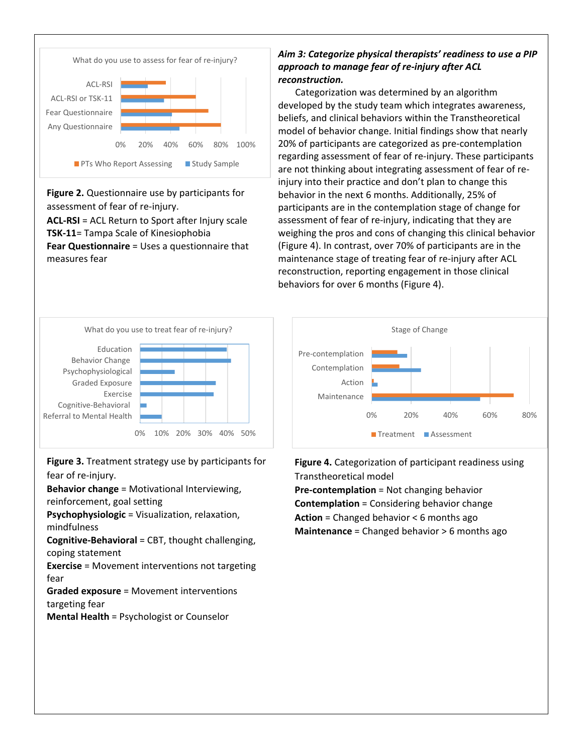

**Figure 2.** Questionnaire use by participants for assessment of fear of re‐injury.

**ACL‐RSI** = ACL Return to Sport after Injury scale **TSK‐11**= Tampa Scale of Kinesiophobia **Fear Questionnaire** = Uses a questionnaire that

measures fear

### *Aim 3: Categorize physical therapists' readiness to use a PIP approach to manage fear of re‐injury after ACL reconstruction.*

Categorization was determined by an algorithm developed by the study team which integrates awareness, beliefs, and clinical behaviors within the Transtheoretical model of behavior change. Initial findings show that nearly 20% of participants are categorized as pre‐contemplation regarding assessment of fear of re‐injury. These participants are not thinking about integrating assessment of fear of re‐ injury into their practice and don't plan to change this behavior in the next 6 months. Additionally, 25% of participants are in the contemplation stage of change for assessment of fear of re‐injury, indicating that they are weighing the pros and cons of changing this clinical behavior (Figure 4). In contrast, over 70% of participants are in the maintenance stage of treating fear of re‐injury after ACL reconstruction, reporting engagement in those clinical behaviors for over 6 months (Figure 4).



**Figure 3.** Treatment strategy use by participants for fear of re‐injury.

**Behavior change** = Motivational Interviewing, reinforcement, goal setting

**Psychophysiologic** = Visualization, relaxation, mindfulness

**Cognitive‐Behavioral** = CBT, thought challenging, coping statement

**Exercise** = Movement interventions not targeting fear

**Graded exposure** = Movement interventions targeting fear

**Mental Health** = Psychologist or Counselor



**Figure 4.** Categorization of participant readiness using Transtheoretical model

**Pre-contemplation** = Not changing behavior **Contemplation** = Considering behavior change **Action** = Changed behavior < 6 months ago **Maintenance** = Changed behavior > 6 months ago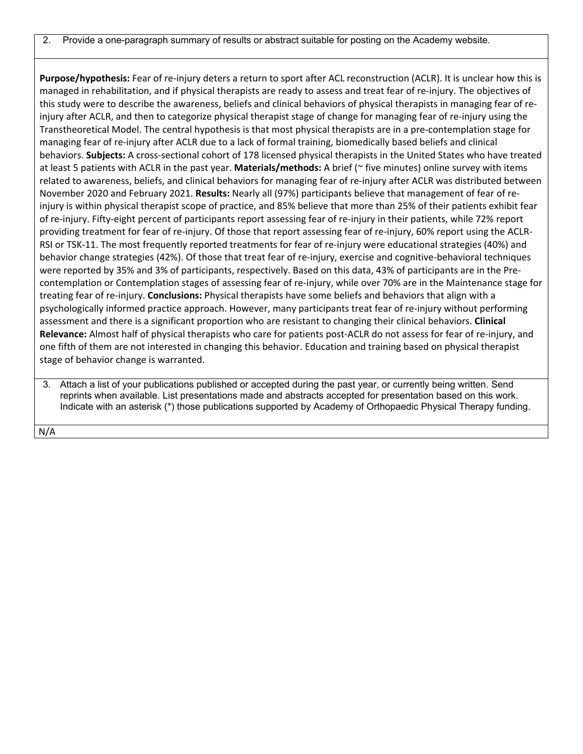2. Provide a one-paragraph summary of results or abstract suitable for posting on the Academy website.

**Purpose/hypothesis:** Fear of re‐injury deters a return to sport after ACL reconstruction (ACLR). It is unclear how this is managed in rehabilitation, and if physical therapists are ready to assess and treat fear of re‐injury. The objectives of this study were to describe the awareness, beliefs and clinical behaviors of physical therapists in managing fear of re‐ injury after ACLR, and then to categorize physical therapist stage of change for managing fear of re‐injury using the Transtheoretical Model. The central hypothesis is that most physical therapists are in a pre‐contemplation stage for managing fear of re‐injury after ACLR due to a lack of formal training, biomedically based beliefs and clinical behaviors. **Subjects:** A cross‐sectional cohort of 178 licensed physical therapists in the United States who have treated at least 5 patients with ACLR in the past year. **Materials/methods:** A brief (~ five minutes) online survey with items related to awareness, beliefs, and clinical behaviors for managing fear of re‐injury after ACLR was distributed between November 2020 and February 2021. **Results:** Nearly all (97%) participants believe that management of fear of re‐ injury is within physical therapist scope of practice, and 85% believe that more than 25% of their patients exhibit fear of re-injury. Fifty-eight percent of participants report assessing fear of re-injury in their patients, while 72% report providing treatment for fear of re-injury. Of those that report assessing fear of re-injury, 60% report using the ACLR-RSI or TSK-11. The most frequently reported treatments for fear of re-injury were educational strategies (40%) and behavior change strategies (42%). Of those that treat fear of re-injury, exercise and cognitive-behavioral techniques were reported by 35% and 3% of participants, respectively. Based on this data, 43% of participants are in the Precontemplation or Contemplation stages of assessing fear of re‐injury, while over 70% are in the Maintenance stage for treating fear of re‐injury. **Conclusions:** Physical therapists have some beliefs and behaviors that align with a psychologically informed practice approach. However, many participants treat fear of re‐injury without performing assessment and there is a significant proportion who are resistant to changing their clinical behaviors. **Clinical Relevance:** Almost half of physical therapists who care for patients post‐ACLR do not assess for fear of re‐injury, and one fifth of them are not interested in changing this behavior. Education and training based on physical therapist stage of behavior change is warranted.

3. Attach a list of your publications published or accepted during the past year, or currently being written. Send reprints when available. List presentations made and abstracts accepted for presentation based on this work. Indicate with an asterisk (\*) those publications supported by Academy of Orthopaedic Physical Therapy funding.

N/A